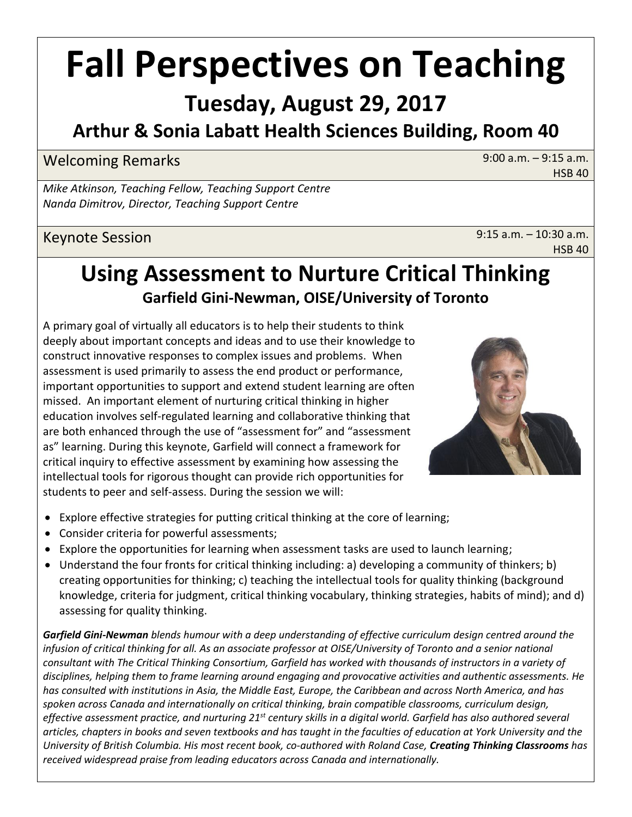# **Fall Perspectives on Teaching**

# **Tuesday, August 29, 2017**

# **Arthur & Sonia Labatt Health Sciences Building, Room 40**

### Welcoming Remarks 8:00 a.m. – 9:15 a.m.

HSB 40

*Mike Atkinson, Teaching Fellow, Teaching Support Centre Nanda Dimitrov, Director, Teaching Support Centre*

### Keynote Session 8:15 a.m. – 10:30 a.m.

HSB 40

# **Using Assessment to Nurture Critical Thinking Garfield Gini-Newman, OISE/University of Toronto**

A primary goal of virtually all educators is to help their students to think deeply about important concepts and ideas and to use their knowledge to construct innovative responses to complex issues and problems. When assessment is used primarily to assess the end product or performance, important opportunities to support and extend student learning are often missed. An important element of nurturing critical thinking in higher education involves self-regulated learning and collaborative thinking that are both enhanced through the use of "assessment for" and "assessment as" learning. During this keynote, Garfield will connect a framework for critical inquiry to effective assessment by examining how assessing the intellectual tools for rigorous thought can provide rich opportunities for students to peer and self-assess. During the session we will:



- Explore effective strategies for putting critical thinking at the core of learning;
- Consider criteria for powerful assessments;
- Explore the opportunities for learning when assessment tasks are used to launch learning;
- Understand the four fronts for critical thinking including: a) developing a community of thinkers; b) creating opportunities for thinking; c) teaching the intellectual tools for quality thinking (background knowledge, criteria for judgment, critical thinking vocabulary, thinking strategies, habits of mind); and d) assessing for quality thinking.

*Garfield Gini-Newman blends humour with a deep understanding of effective curriculum design centred around the infusion of critical thinking for all. As an associate professor at OISE/University of Toronto and a senior national consultant with The Critical Thinking Consortium, Garfield has worked with thousands of instructors in a variety of disciplines, helping them to frame learning around engaging and provocative activities and authentic assessments. He has consulted with institutions in Asia, the Middle East, Europe, the Caribbean and across North America, and has spoken across Canada and internationally on critical thinking, brain compatible classrooms, curriculum design, effective assessment practice, and nurturing 21st century skills in a digital world. Garfield has also authored several articles, chapters in books and seven textbooks and has taught in the faculties of education at York University and the University of British Columbia. His most recent book, co-authored with Roland Case, Creating Thinking Classrooms has received widespread praise from leading educators across Canada and internationally.*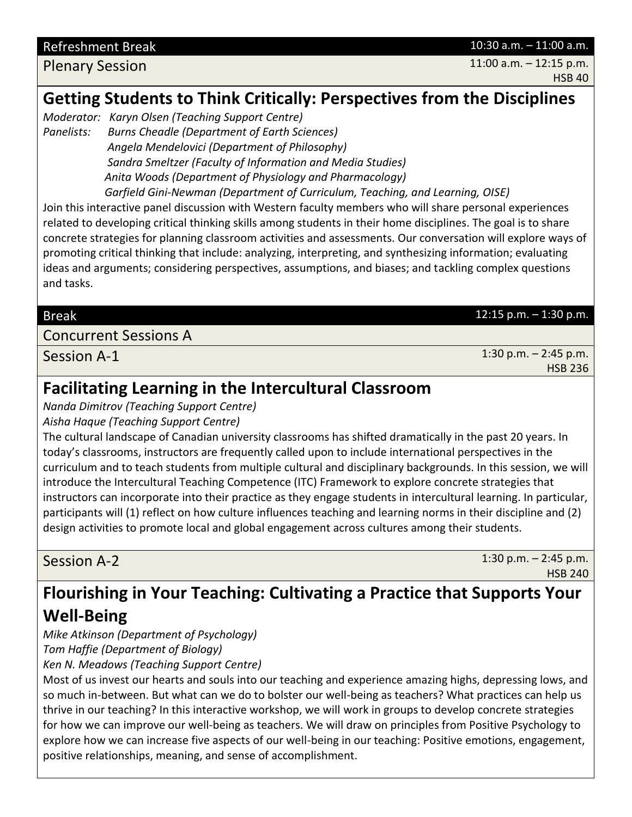Refreshment Break 10:30 a.m. – 11:00 a.m.

Plenary Session **11:00 a.m.** – 12:15 p.m. HSB 40

# **Getting Students to Think Critically: Perspectives from the Disciplines**

*Moderator: Karyn Olsen (Teaching Support Centre)*

*Panelists: Burns Cheadle (Department of Earth Sciences) Angela Mendelovici (Department of Philosophy) Sandra Smeltzer (Faculty of Information and Media Studies) Anita Woods (Department of Physiology and Pharmacology) Garfield Gini-Newman (Department of Curriculum, Teaching, and Learning, OISE)*

Join this interactive panel discussion with Western faculty members who will share personal experiences related to developing critical thinking skills among students in their home disciplines. The goal is to share concrete strategies for planning classroom activities and assessments. Our conversation will explore ways of promoting critical thinking that include: analyzing, interpreting, and synthesizing information; evaluating ideas and arguments; considering perspectives, assumptions, and biases; and tackling complex questions and tasks.

#### Break 12:15 p.m. – 1:30 p.m.

#### Concurrent Sessions A

Session A-1 1:30 p.m. – 2:45 p.m. HSB 236

# **Facilitating Learning in the Intercultural Classroom**

*Nanda Dimitrov (Teaching Support Centre)*

*Aisha Haque (Teaching Support Centre)*

The cultural landscape of Canadian university classrooms has shifted dramatically in the past 20 years. In today's classrooms, instructors are frequently called upon to include international perspectives in the curriculum and to teach students from multiple cultural and disciplinary backgrounds. In this session, we will introduce the Intercultural Teaching Competence (ITC) Framework to explore concrete strategies that instructors can incorporate into their practice as they engage students in intercultural learning. In particular, participants will (1) reflect on how culture influences teaching and learning norms in their discipline and (2) design activities to promote local and global engagement across cultures among their students.

Session A-2 1:30 p.m. – 2:45 p.m. HSB 240

# **Flourishing in Your Teaching: Cultivating a Practice that Supports Your Well-Being**

*Mike Atkinson (Department of Psychology)*

*Tom Haffie (Department of Biology)*

*Ken N. Meadows (Teaching Support Centre)*

Most of us invest our hearts and souls into our teaching and experience amazing highs, depressing lows, and so much in-between. But what can we do to bolster our well-being as teachers? What practices can help us thrive in our teaching? In this interactive workshop, we will work in groups to develop concrete strategies for how we can improve our well-being as teachers. We will draw on principles from Positive Psychology to explore how we can increase five aspects of our well-being in our teaching: Positive emotions, engagement, positive relationships, meaning, and sense of accomplishment.